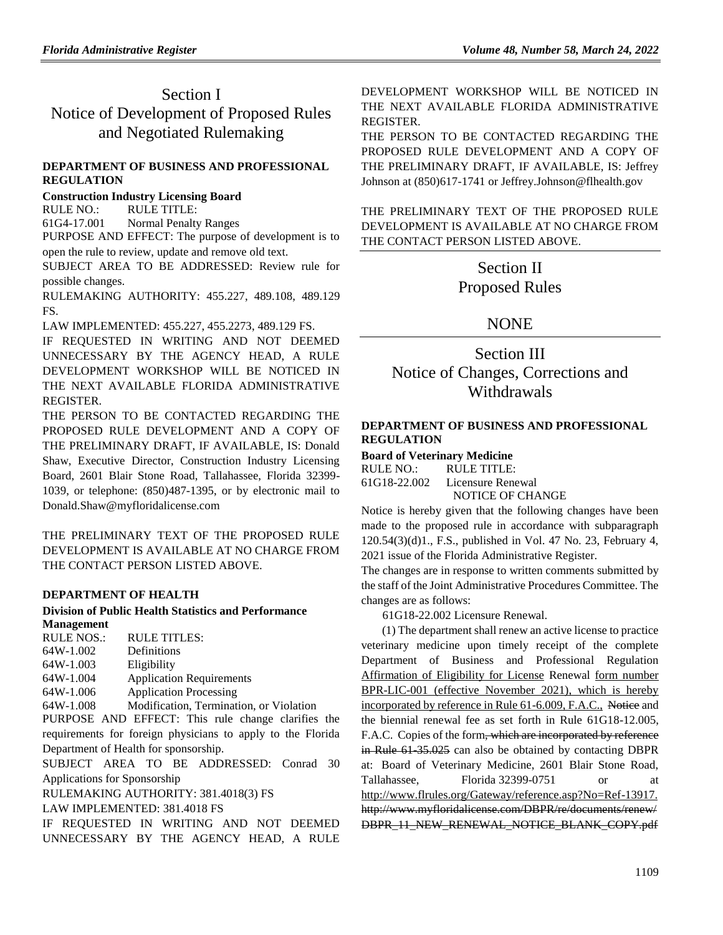# Section I Notice of Development of Proposed Rules and Negotiated Rulemaking

## **[DEPARTMENT OF BUSINESS AND PROFESSIONAL](https://www.flrules.org/gateway/department.asp?id=61)  [REGULATION](https://www.flrules.org/gateway/department.asp?id=61)**

### **[Construction Industry Licensing Board](https://www.flrules.org/gateway/organization.asp?id=274)**

RULE NO.: RULE TITLE:

[61G4-17.001](https://www.flrules.org/gateway/ruleNo.asp?id=61G4-17.001) Normal Penalty Ranges

PURPOSE AND EFFECT: The purpose of development is to open the rule to review, update and remove old text.

SUBJECT AREA TO BE ADDRESSED: Review rule for possible changes.

RULEMAKING AUTHORITY: [455.227,](https://www.flrules.org/gateway/statute.asp?id=455.227) [489.108,](https://www.flrules.org/gateway/statute.asp?id=%20489.108) [489.129](https://www.flrules.org/gateway/statute.asp?id=%20489.129%20FS.)  [FS.](https://www.flrules.org/gateway/statute.asp?id=%20489.129%20FS.)

LAW IMPLEMENTED: [455.227,](https://www.flrules.org/gateway/statute.asp?id=455.227) [455.2273,](https://www.flrules.org/gateway/statute.asp?id=%20455.2273) [489.129 FS.](https://www.flrules.org/gateway/statute.asp?id=%20489.129%20FS.)

IF REQUESTED IN WRITING AND NOT DEEMED UNNECESSARY BY THE AGENCY HEAD, A RULE DEVELOPMENT WORKSHOP WILL BE NOTICED IN THE NEXT AVAILABLE FLORIDA ADMINISTRATIVE REGISTER.

THE PERSON TO BE CONTACTED REGARDING THE PROPOSED RULE DEVELOPMENT AND A COPY OF THE PRELIMINARY DRAFT, IF AVAILABLE, IS: Donald Shaw, Executive Director, Construction Industry Licensing Board, 2601 Blair Stone Road, Tallahassee, Florida 32399- 1039, or telephone: (850)487-1395, or by electronic mail to Donald.Shaw@myfloridalicense.com

THE PRELIMINARY TEXT OF THE PROPOSED RULE DEVELOPMENT IS AVAILABLE AT NO CHARGE FROM THE CONTACT PERSON LISTED ABOVE.

## **[DEPARTMENT OF HEALTH](https://www.flrules.org/gateway/department.asp?id=64)**

# **[Division of Public Health Statistics and Performance](https://www.flrules.org/gateway/organization.asp?id=1152)  [Management](https://www.flrules.org/gateway/organization.asp?id=1152)**

| RULE NOS.: | RULE TITLES: |
|------------|--------------|
| 64W-1.002  | Definitions  |

| $U + VV = 1.002$ | DUMINIUM       |
|------------------|----------------|
| 64W 1.003        | $F$ ligibility |

[64W-1.003](https://www.flrules.org/gateway/ruleNo.asp?id=64W-1.003) Eligibility [64W-1.004](https://www.flrules.org/gateway/ruleNo.asp?id=64W-1.004) Application Requirements

[64W-1.006](https://www.flrules.org/gateway/ruleNo.asp?id=64W-1.006) Application Processing

[64W-1.008](https://www.flrules.org/gateway/ruleNo.asp?id=64W-1.008) Modification, Termination, or Violation

PURPOSE AND EFFECT: This rule change clarifies the requirements for foreign physicians to apply to the Florida Department of Health for sponsorship.

SUBJECT AREA TO BE ADDRESSED: Conrad 30 Applications for Sponsorship

RULEMAKING AUTHORITY: [381.4018\(3\) FS](https://www.flrules.org/gateway/cfr.asp?id=381.4018(3)%20FS)

LAW IMPLEMENTED: [381.4018 FS](https://www.flrules.org/gateway/cfr.asp?id=381.4018%20FS)

IF REQUESTED IN WRITING AND NOT DEEMED UNNECESSARY BY THE AGENCY HEAD, A RULE DEVELOPMENT WORKSHOP WILL BE NOTICED IN THE NEXT AVAILABLE FLORIDA ADMINISTRATIVE REGISTER.

THE PERSON TO BE CONTACTED REGARDING THE PROPOSED RULE DEVELOPMENT AND A COPY OF THE PRELIMINARY DRAFT, IF AVAILABLE, IS: Jeffrey Johnson at (850)617-1741 or Jeffrey.Johnson@flhealth.gov

THE PRELIMINARY TEXT OF THE PROPOSED RULE DEVELOPMENT IS AVAILABLE AT NO CHARGE FROM THE CONTACT PERSON LISTED ABOVE.

> Section II Proposed Rules

# NONE

Section III Notice of Changes, Corrections and Withdrawals

## **[DEPARTMENT OF BUSINESS AND PROFESSIONAL](https://www.flrules.org/gateway/department.asp?id=61)  [REGULATION](https://www.flrules.org/gateway/department.asp?id=61)**

**[Board of Veterinary Medicine](https://www.flrules.org/gateway/organization.asp?id=270)**

RULE NO.: RULE TITLE: [61G18-22.002](https://www.flrules.org/gateway/ruleNo.asp?id=61G18-22.002) Licensure Renewal NOTICE OF CHANGE

Notice is hereby given that the following changes have been made to the proposed rule in accordance with subparagraph 120.54(3)(d)1., F.S., published in Vol. 47 No. 23, February 4, 2021 issue of the Florida Administrative Register.

The changes are in response to written comments submitted by the staff of the Joint Administrative Procedures Committee. The changes are as follows:

61G18-22.002 Licensure Renewal.

 (1) The department shall renew an active license to practice veterinary medicine upon timely receipt of the complete Department of Business and Professional Regulation Affirmation of Eligibility for License Renewal form number BPR-LIC-001 (effective November 2021), which is hereby incorporated by reference in Rule 61-6.009, F.A.C., Notice and the biennial renewal fee as set forth in Rule 61G18-12.005, F.A.C. Copies of the form, which are incorporated by reference in Rule 61 35.025 can also be obtained by contacting DBPR at: Board of Veterinary Medicine, 2601 Blair Stone Road, Tallahassee, Florida 32399-0751 or at [http://www.flrules.org/Gateway/reference.asp?No=Ref-13917.](https://www.flrules.org/Gateway/reference.asp?No=Ref-13917) http://www.myfloridalicense.com/DBPR/re/documents/renew/ DBPR\_11\_NEW\_RENEWAL\_NOTICE\_BLANK\_COPY.pdf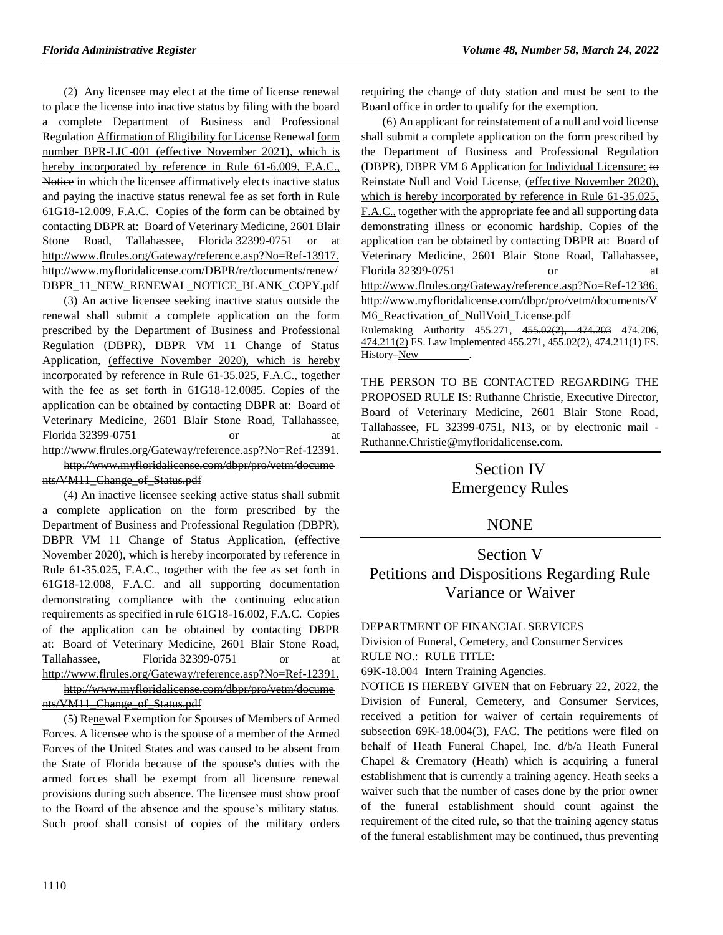(2) Any licensee may elect at the time of license renewal to place the license into inactive status by filing with the board a complete Department of Business and Professional Regulation Affirmation of Eligibility for License Renewal form number BPR-LIC-001 (effective November 2021), which is hereby incorporated by reference in Rule 61-6.009, F.A.C., Notice in which the licensee affirmatively elects inactive status and paying the inactive status renewal fee as set forth in Rule 61G18-12.009, F.A.C. Copies of the form can be obtained by contacting DBPR at: Board of Veterinary Medicine, 2601 Blair Stone Road, Tallahassee, Florida 32399-0751 or at [http://www.flrules.org/Gateway/reference.asp?No=Ref-13917.](https://www.flrules.org/Gateway/reference.asp?No=Ref-13917) http://www.myfloridalicense.com/DBPR/re/documents/renew/ DBPR\_11\_NEW\_RENEWAL\_NOTICE\_BLANK\_COPY.pdf

(3) An active licensee seeking inactive status outside the renewal shall submit a complete application on the form prescribed by the Department of Business and Professional Regulation (DBPR), DBPR VM 11 Change of Status Application, (effective November 2020), which is hereby incorporated by reference in Rule 61-35.025, F.A.C., together with the fee as set forth in 61G18-12.0085. Copies of the application can be obtained by contacting DBPR at: Board of Veterinary Medicine, 2601 Blair Stone Road, Tallahassee, Florida 32399-0751 or [http://www.flrules.org/Gateway/reference.asp?No=Ref-12391.](https://www.flrules.org/Gateway/reference.asp?No=Ref-12391) http://www.myfloridalicense.com/dbpr/pro/vetm/docume nts/VM11\_Change\_of\_Status.pdf

(4) An inactive licensee seeking active status shall submit a complete application on the form prescribed by the Department of Business and Professional Regulation (DBPR), DBPR VM 11 Change of Status Application, (effective November 2020), which is hereby incorporated by reference in Rule 61-35.025, F.A.C., together with the fee as set forth in 61G18-12.008, F.A.C. and all supporting documentation demonstrating compliance with the continuing education requirements as specified in rule 61G18-16.002, F.A.C. Copies of the application can be obtained by contacting DBPR at: Board of Veterinary Medicine, 2601 Blair Stone Road, Tallahassee, Florida 32399-0751 or at [http://www.flrules.org/Gateway/reference.asp?No=Ref-12391.](https://www.flrules.org/Gateway/reference.asp?No=Ref-12391)

[http://www.myfloridalicense.com/dbpr/pro/vetm/docume](http://www.myfloridalicense.com/dbpr/pro/vetm/documents/VM11_Change_of_Status.pdf) [nts/VM11\\_Change\\_of\\_Status.pdf](http://www.myfloridalicense.com/dbpr/pro/vetm/documents/VM11_Change_of_Status.pdf)

(5) Renewal Exemption for Spouses of Members of Armed Forces. A licensee who is the spouse of a member of the Armed Forces of the United States and was caused to be absent from the State of Florida because of the spouse's duties with the armed forces shall be exempt from all licensure renewal provisions during such absence. The licensee must show proof to the Board of the absence and the spouse's military status. Such proof shall consist of copies of the military orders requiring the change of duty station and must be sent to the Board office in order to qualify for the exemption.

(6) An applicant for reinstatement of a null and void license shall submit a complete application on the form prescribed by the Department of Business and Professional Regulation (DBPR), DBPR VM 6 Application for Individual Licensure: to Reinstate Null and Void License, (effective November 2020), which is hereby incorporated by reference in Rule 61-35.025, F.A.C., together with the appropriate fee and all supporting data demonstrating illness or economic hardship. Copies of the application can be obtained by contacting DBPR at: Board of Veterinary Medicine, 2601 Blair Stone Road, Tallahassee, Florida 32399-0751 [http://www.flrules.org/Gateway/reference.asp?No=Ref-12386.](https://www.flrules.org/Gateway/reference.asp?No=Ref-12386) http://www.myfloridalicense.com/dbpr/pro/vetm/documents/V M6\_Reactivation\_of\_NullVoid\_License.pdf

Rulemaking Authority 455.271, 455.02(2), 474.203 474.206, 474.211(2) FS. Law Implemented 455.271, 455.02(2), 474.211(1) FS. History–New

THE PERSON TO BE CONTACTED REGARDING THE PROPOSED RULE IS: Ruthanne Christie, Executive Director, Board of Veterinary Medicine, 2601 Blair Stone Road, Tallahassee, FL 32399-0751, N13, or by electronic mail - Ruthanne.Christie@myfloridalicense.com.

> Section IV Emergency Rules

# NONE

# Section V Petitions and Dispositions Regarding Rule Variance or Waiver

[DEPARTMENT OF FINANCIAL SERVICES](https://www.flrules.org/gateway/department.asp?id=69)

[Division of Funeral, Cemetery, and Consumer Services](https://www.flrules.org/gateway/organization.asp?id=369) RULE NO.: RULE TITLE:

[69K-18.004](https://www.flrules.org/gateway/ruleNo.asp?id=69K-18.004) Intern Training Agencies.

NOTICE IS HEREBY GIVEN that on February 22, 2022, the Division of Funeral, Cemetery, and Consumer Services, received a petition for waiver of certain requirements of subsection 69K-18.004(3), FAC. The petitions were filed on behalf of Heath Funeral Chapel, Inc. d/b/a Heath Funeral Chapel & Crematory (Heath) which is acquiring a funeral establishment that is currently a training agency. Heath seeks a waiver such that the number of cases done by the prior owner of the funeral establishment should count against the requirement of the cited rule, so that the training agency status of the funeral establishment may be continued, thus preventing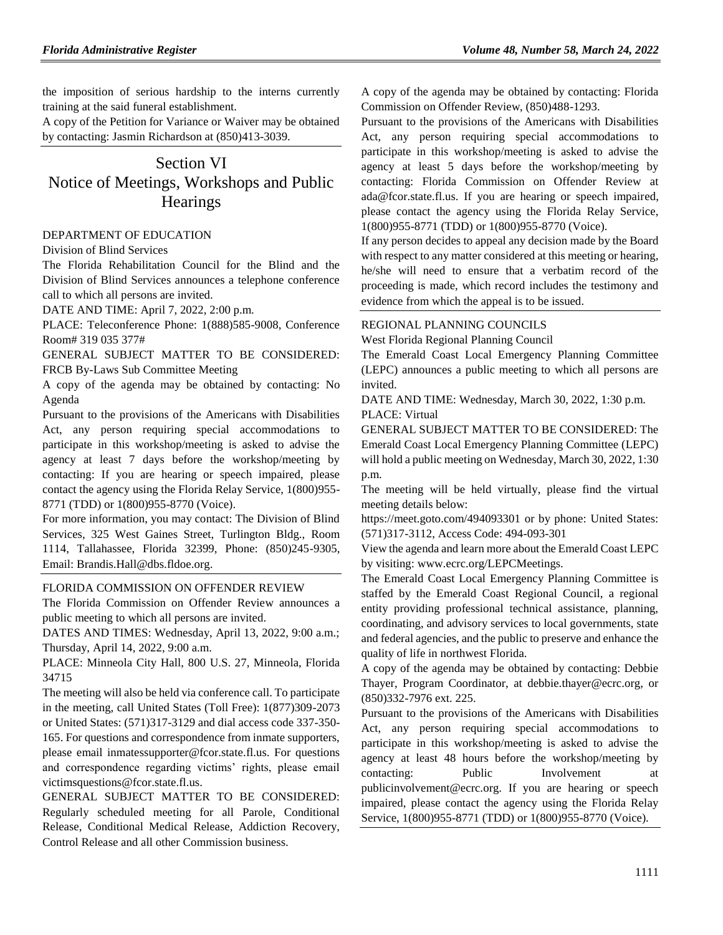the imposition of serious hardship to the interns currently training at the said funeral establishment.

A copy of the Petition for Variance or Waiver may be obtained by contacting: Jasmin Richardson at (850)413-3039.

# Section VI Notice of Meetings, Workshops and Public **Hearings**

#### [DEPARTMENT OF EDUCATION](https://www.flrules.org/gateway/department.asp?id=6)

#### [Division of Blind Services](https://www.flrules.org/gateway/organization.asp?id=1419)

The Florida Rehabilitation Council for the Blind and the Division of Blind Services announces a telephone conference call to which all persons are invited.

DATE AND TIME: April 7, 2022, 2:00 p.m.

PLACE: Teleconference Phone: 1(888)585-9008, Conference Room# 319 035 377#

GENERAL SUBJECT MATTER TO BE CONSIDERED: FRCB By-Laws Sub Committee Meeting

A copy of the agenda may be obtained by contacting: No Agenda

Pursuant to the provisions of the Americans with Disabilities Act, any person requiring special accommodations to participate in this workshop/meeting is asked to advise the agency at least 7 days before the workshop/meeting by contacting: If you are hearing or speech impaired, please contact the agency using the Florida Relay Service, 1(800)955- 8771 (TDD) or 1(800)955-8770 (Voice).

For more information, you may contact: The Division of Blind Services, 325 West Gaines Street, Turlington Bldg., Room 1114, Tallahassee, Florida 32399, Phone: (850)245-9305, Email: Brandis.Hall@dbs.fldoe.org.

#### [FLORIDA COMMISSION ON OFFENDER REVIEW](https://www.flrules.org/gateway/department.asp?id=23)

The Florida Commission on Offender Review announces a public meeting to which all persons are invited.

DATES AND TIMES: Wednesday, April 13, 2022, 9:00 a.m.; Thursday, April 14, 2022, 9:00 a.m.

PLACE: Minneola City Hall, 800 U.S. 27, Minneola, Florida 34715

The meeting will also be held via conference call. To participate in the meeting, call United States (Toll Free): 1(877)309-2073 or United States: (571)317-3129 and dial access code 337-350- 165. For questions and correspondence from inmate supporters, please email inmatessupporter@fcor.state.fl.us. For questions and correspondence regarding victims' rights, please email victimsquestions@fcor.state.fl.us.

GENERAL SUBJECT MATTER TO BE CONSIDERED: Regularly scheduled meeting for all Parole, Conditional Release, Conditional Medical Release, Addiction Recovery, Control Release and all other Commission business.

A copy of the agenda may be obtained by contacting: Florida Commission on Offender Review, (850)488-1293.

Pursuant to the provisions of the Americans with Disabilities Act, any person requiring special accommodations to participate in this workshop/meeting is asked to advise the agency at least 5 days before the workshop/meeting by contacting: Florida Commission on Offender Review at ada@fcor.state.fl.us. If you are hearing or speech impaired, please contact the agency using the Florida Relay Service, 1(800)955-8771 (TDD) or 1(800)955-8770 (Voice).

If any person decides to appeal any decision made by the Board with respect to any matter considered at this meeting or hearing, he/she will need to ensure that a verbatim record of the proceeding is made, which record includes the testimony and evidence from which the appeal is to be issued.

### [REGIONAL PLANNING COUNCILS](https://www.flrules.org/gateway/department.asp?id=29)

[West Florida Regional Planning Council](https://www.flrules.org/gateway/organization.asp?id=57)

The Emerald Coast Local Emergency Planning Committee (LEPC) announces a public meeting to which all persons are invited.

DATE AND TIME: Wednesday, March 30, 2022, 1:30 p.m. PLACE: Virtual

GENERAL SUBJECT MATTER TO BE CONSIDERED: The Emerald Coast Local Emergency Planning Committee (LEPC) will hold a public meeting on Wednesday, March 30, 2022, 1:30 p.m.

The meeting will be held virtually, please find the virtual meeting details below:

https://meet.goto.com/494093301 or by phone: United States: (571)317-3112, Access Code: 494-093-301

View the agenda and learn more about the Emerald Coast LEPC by visiting: www.ecrc.org/LEPCMeetings.

The Emerald Coast Local Emergency Planning Committee is staffed by the Emerald Coast Regional Council, a regional entity providing professional technical assistance, planning, coordinating, and advisory services to local governments, state and federal agencies, and the public to preserve and enhance the quality of life in northwest Florida.

A copy of the agenda may be obtained by contacting: Debbie Thayer, Program Coordinator, at debbie.thayer@ecrc.org, or (850)332-7976 ext. 225.

Pursuant to the provisions of the Americans with Disabilities Act, any person requiring special accommodations to participate in this workshop/meeting is asked to advise the agency at least 48 hours before the workshop/meeting by contacting: Public Involvement at publicinvolvement@ecrc.org. If you are hearing or speech impaired, please contact the agency using the Florida Relay Service, 1(800)955-8771 (TDD) or 1(800)955-8770 (Voice).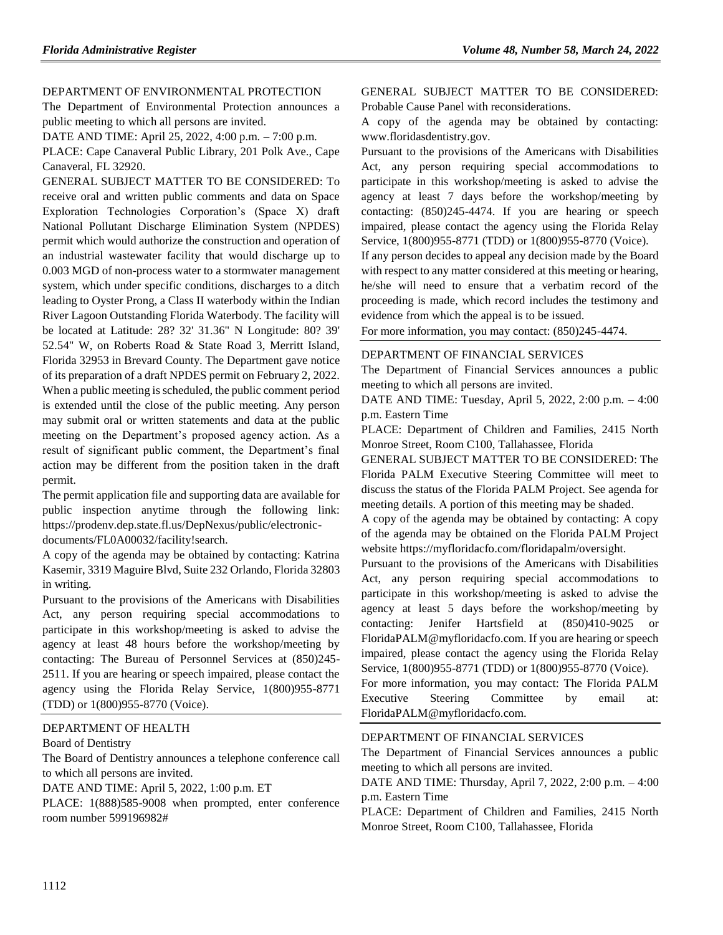#### DEPARTMENT [OF ENVIRONMENTAL PROTECTION](https://www.flrules.org/gateway/department.asp?id=62)

The Department of Environmental Protection announces a public meeting to which all persons are invited.

DATE AND TIME: April 25, 2022, 4:00 p.m. – 7:00 p.m.

PLACE: Cape Canaveral Public Library, 201 Polk Ave., Cape Canaveral, FL 32920.

GENERAL SUBJECT MATTER TO BE CONSIDERED: To receive oral and written public comments and data on Space Exploration Technologies Corporation's (Space X) draft National Pollutant Discharge Elimination System (NPDES) permit which would authorize the construction and operation of an industrial wastewater facility that would discharge up to 0.003 MGD of non-process water to a stormwater management system, which under specific conditions, discharges to a ditch leading to Oyster Prong, a Class II waterbody within the Indian River Lagoon Outstanding Florida Waterbody. The facility will be located at Latitude: 28? 32' 31.36" N Longitude: 80? 39' 52.54" W, on Roberts Road & State Road 3, Merritt Island, Florida 32953 in Brevard County. The Department gave notice of its preparation of a draft NPDES permit on February 2, 2022. When a public meeting is scheduled, the public comment period is extended until the close of the public meeting. Any person may submit oral or written statements and data at the public meeting on the Department's proposed agency action. As a result of significant public comment, the Department's final action may be different from the position taken in the draft permit.

The permit application file and supporting data are available for public inspection anytime through the following link: https://prodenv.dep.state.fl.us/DepNexus/public/electronicdocuments/FL0A00032/facility!search.

A copy of the agenda may be obtained by contacting: Katrina Kasemir, 3319 Maguire Blvd, Suite 232 Orlando, Florida 32803 in writing.

Pursuant to the provisions of the Americans with Disabilities Act, any person requiring special accommodations to participate in this workshop/meeting is asked to advise the agency at least 48 hours before the workshop/meeting by contacting: The Bureau of Personnel Services at (850)245- 2511. If you are hearing or speech impaired, please contact the agency using the Florida Relay Service, 1(800)955-8771 (TDD) or 1(800)955-8770 (Voice).

### [DEPARTMENT OF HEALTH](https://www.flrules.org/gateway/department.asp?id=64)

#### [Board of Dentistry](https://www.flrules.org/gateway/organization.asp?id=328)

The Board of Dentistry announces a telephone conference call to which all persons are invited.

DATE AND TIME: April 5, 2022, 1:00 p.m. ET

PLACE: 1(888)585-9008 when prompted, enter conference room number 599196982#

GENERAL SUBJECT MATTER TO BE CONSIDERED: Probable Cause Panel with reconsiderations.

A copy of the agenda may be obtained by contacting: www.floridasdentistry.gov.

Pursuant to the provisions of the Americans with Disabilities Act, any person requiring special accommodations to participate in this workshop/meeting is asked to advise the agency at least 7 days before the workshop/meeting by contacting: (850)245-4474. If you are hearing or speech impaired, please contact the agency using the Florida Relay Service, 1(800)955-8771 (TDD) or 1(800)955-8770 (Voice).

If any person decides to appeal any decision made by the Board with respect to any matter considered at this meeting or hearing, he/she will need to ensure that a verbatim record of the proceeding is made, which record includes the testimony and evidence from which the appeal is to be issued.

For more information, you may contact: (850)245-4474.

#### [DEPARTMENT OF FINANCIAL SERVICES](https://www.flrules.org/gateway/department.asp?id=69)

The Department of Financial Services announces a public meeting to which all persons are invited.

DATE AND TIME: Tuesday, April 5, 2022, 2:00 p.m. – 4:00 p.m. Eastern Time

PLACE: Department of Children and Families, 2415 North Monroe Street, Room C100, Tallahassee, Florida

GENERAL SUBJECT MATTER TO BE CONSIDERED: The Florida PALM Executive Steering Committee will meet to discuss the status of the Florida PALM Project. See agenda for meeting details. A portion of this meeting may be shaded.

A copy of the agenda may be obtained by contacting: A copy of the agenda may be obtained on the Florida PALM Project website https://myfloridacfo.com/floridapalm/oversight.

Pursuant to the provisions of the Americans with Disabilities Act, any person requiring special accommodations to participate in this workshop/meeting is asked to advise the agency at least 5 days before the workshop/meeting by contacting: Jenifer Hartsfield at (850)410-9025 or FloridaPALM@myfloridacfo.com. If you are hearing or speech impaired, please contact the agency using the Florida Relay Service, 1(800)955-8771 (TDD) or 1(800)955-8770 (Voice).

For more information, you may contact: The Florida PALM Executive Steering Committee by email at: FloridaPALM@myfloridacfo.com.

#### [DEPARTMENT OF FINANCIAL SERVICES](https://www.flrules.org/gateway/department.asp?id=69)

The Department of Financial Services announces a public meeting to which all persons are invited.

DATE AND TIME: Thursday, April 7, 2022, 2:00 p.m. – 4:00 p.m. Eastern Time

PLACE: Department of Children and Families, 2415 North Monroe Street, Room C100, Tallahassee, Florida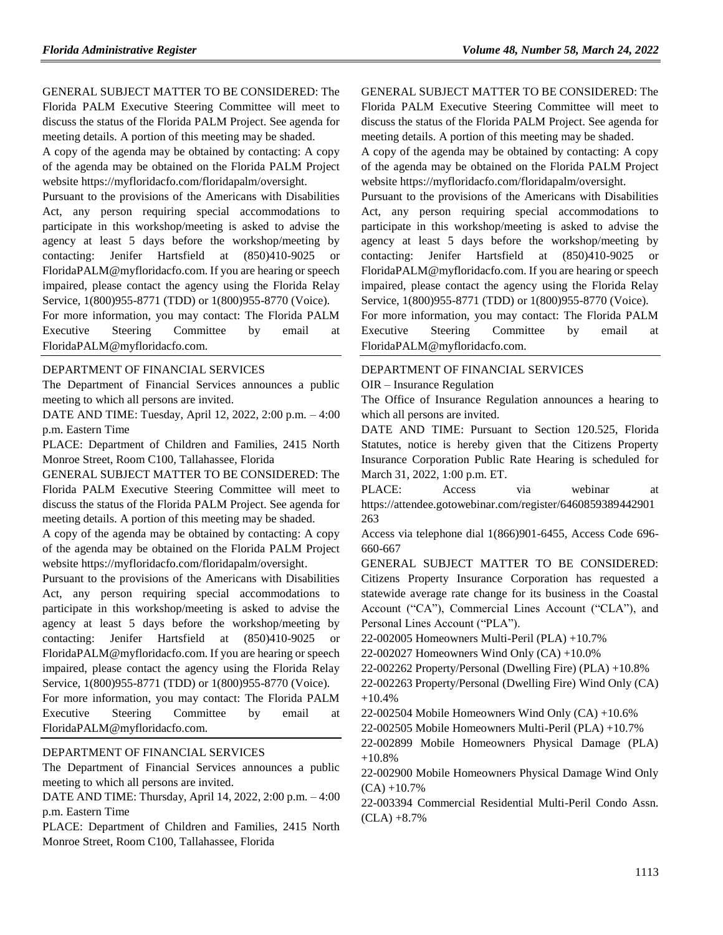GENERAL SUBJECT MATTER TO BE CONSIDERED: The Florida PALM Executive Steering Committee will meet to discuss the status of the Florida PALM Project. See agenda for meeting details. A portion of this meeting may be shaded.

A copy of the agenda may be obtained by contacting: A copy of the agenda may be obtained on the Florida PALM Project website https://myfloridacfo.com/floridapalm/oversight.

Pursuant to the provisions of the Americans with Disabilities Act, any person requiring special accommodations to participate in this workshop/meeting is asked to advise the agency at least 5 days before the workshop/meeting by contacting: Jenifer Hartsfield at (850)410-9025 or FloridaPALM@myfloridacfo.com. If you are hearing or speech impaired, please contact the agency using the Florida Relay Service, 1(800)955-8771 (TDD) or 1(800)955-8770 (Voice).

For more information, you may contact: The Florida PALM Executive Steering Committee by email at FloridaPALM@myfloridacfo.com.

### [DEPARTMENT OF FINANCIAL SERVICES](https://www.flrules.org/gateway/department.asp?id=69)

The Department of Financial Services announces a public meeting to which all persons are invited.

DATE AND TIME: Tuesday, April 12, 2022, 2:00 p.m. – 4:00 p.m. Eastern Time

PLACE: Department of Children and Families, 2415 North Monroe Street, Room C100, Tallahassee, Florida

GENERAL SUBJECT MATTER TO BE CONSIDERED: The Florida PALM Executive Steering Committee will meet to discuss the status of the Florida PALM Project. See agenda for meeting details. A portion of this meeting may be shaded.

A copy of the agenda may be obtained by contacting: A copy of the agenda may be obtained on the Florida PALM Project website https://myfloridacfo.com/floridapalm/oversight.

Pursuant to the provisions of the Americans with Disabilities Act, any person requiring special accommodations to participate in this workshop/meeting is asked to advise the agency at least 5 days before the workshop/meeting by contacting: Jenifer Hartsfield at (850)410-9025 FloridaPALM@myfloridacfo.com. If you are hearing or speech impaired, please contact the agency using the Florida Relay Service, 1(800)955-8771 (TDD) or 1(800)955-8770 (Voice).

For more information, you may contact: The Florida PALM Executive Steering Committee by email at FloridaPALM@myfloridacfo.com.

#### [DEPARTMENT OF FINANCIAL SERVICES](https://www.flrules.org/gateway/department.asp?id=69)

The Department of Financial Services announces a public meeting to which all persons are invited.

DATE AND TIME: Thursday, April 14, 2022, 2:00 p.m. – 4:00 p.m. Eastern Time

PLACE: Department of Children and Families, 2415 North Monroe Street, Room C100, Tallahassee, Florida

GENERAL SUBJECT MATTER TO BE CONSIDERED: The Florida PALM Executive Steering Committee will meet to discuss the status of the Florida PALM Project. See agenda for meeting details. A portion of this meeting may be shaded.

A copy of the agenda may be obtained by contacting: A copy of the agenda may be obtained on the Florida PALM Project website https://myfloridacfo.com/floridapalm/oversight.

Pursuant to the provisions of the Americans with Disabilities Act, any person requiring special accommodations to participate in this workshop/meeting is asked to advise the agency at least 5 days before the workshop/meeting by contacting: Jenifer Hartsfield at (850)410-9025 or FloridaPALM@myfloridacfo.com. If you are hearing or speech impaired, please contact the agency using the Florida Relay Service, 1(800)955-8771 (TDD) or 1(800)955-8770 (Voice).

For more information, you may contact: The Florida PALM Executive Steering Committee by email at FloridaPALM@myfloridacfo.com.

# [DEPARTMENT OF FINANCIAL SERVICES](https://www.flrules.org/gateway/department.asp?id=69)

OIR – [Insurance Regulation](https://www.flrules.org/gateway/organization.asp?id=520)

The Office of Insurance Regulation announces a hearing to which all persons are invited.

DATE AND TIME: Pursuant to Section 120.525, Florida Statutes, notice is hereby given that the Citizens Property Insurance Corporation Public Rate Hearing is scheduled for March 31, 2022, 1:00 p.m. ET.

PLACE: Access via webinar at https://attendee.gotowebinar.com/register/6460859389442901 263

Access via telephone dial 1(866)901-6455, Access Code 696- 660-667

GENERAL SUBJECT MATTER TO BE CONSIDERED: Citizens Property Insurance Corporation has requested a statewide average rate change for its business in the Coastal Account ("CA"), Commercial Lines Account ("CLA"), and Personal Lines Account ("PLA").

22-002005 Homeowners Multi-Peril (PLA) +10.7%

22-002027 Homeowners Wind Only (CA) +10.0%

22-002262 Property/Personal (Dwelling Fire) (PLA) +10.8%

22-002263 Property/Personal (Dwelling Fire) Wind Only (CA) +10.4%

22-002504 Mobile Homeowners Wind Only (CA) +10.6%

22-002505 Mobile Homeowners Multi-Peril (PLA) +10.7%

22-002899 Mobile Homeowners Physical Damage (PLA) +10.8%

22-002900 Mobile Homeowners Physical Damage Wind Only  $(CA) + 10.7%$ 

22-003394 Commercial Residential Multi-Peril Condo Assn.  $(CLA) + 8.7%$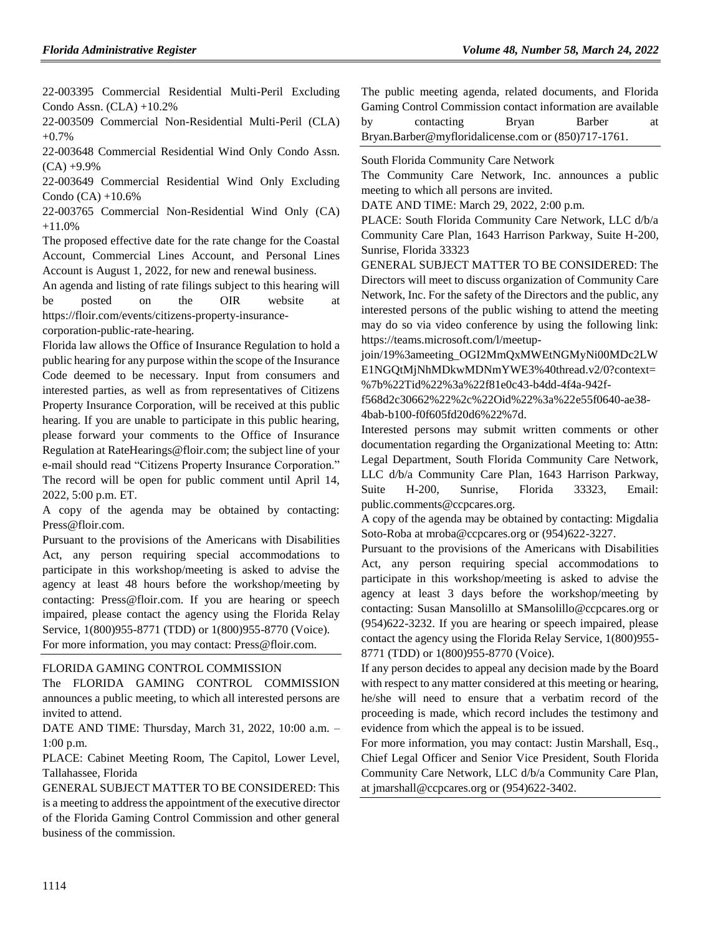22-003395 Commercial Residential Multi-Peril Excluding Condo Assn.  $(CLA) +10.2%$ 

22-003509 Commercial Non-Residential Multi-Peril (CLA) +0.7%

22-003648 Commercial Residential Wind Only Condo Assn.  $(CA) +9.9%$ 

22-003649 Commercial Residential Wind Only Excluding Condo  $(CA) + 10.6%$ 

22-003765 Commercial Non-Residential Wind Only (CA) +11.0%

The proposed effective date for the rate change for the Coastal Account, Commercial Lines Account, and Personal Lines Account is August 1, 2022, for new and renewal business.

An agenda and listing of rate filings subject to this hearing will be posted on the OIR website at https://floir.com/events/citizens-property-insurance-

corporation-public-rate-hearing.

Florida law allows the Office of Insurance Regulation to hold a public hearing for any purpose within the scope of the Insurance Code deemed to be necessary. Input from consumers and interested parties, as well as from representatives of Citizens Property Insurance Corporation, will be received at this public hearing. If you are unable to participate in this public hearing, please forward your comments to the Office of Insurance Regulation at RateHearings@floir.com; the subject line of your e-mail should read "Citizens Property Insurance Corporation." The record will be open for public comment until April 14, 2022, 5:00 p.m. ET.

A copy of the agenda may be obtained by contacting: Press@floir.com.

Pursuant to the provisions of the Americans with Disabilities Act, any person requiring special accommodations to participate in this workshop/meeting is asked to advise the agency at least 48 hours before the workshop/meeting by contacting: Press@floir.com. If you are hearing or speech impaired, please contact the agency using the Florida Relay Service, 1(800)955-8771 (TDD) or 1(800)955-8770 (Voice). For more information, you may contact: Press@floir.com.

FLORIDA GAMING CONTROL COMMISSION

The FLORIDA GAMING CONTROL COMMISSION announces a public meeting, to which all interested persons are invited to attend.

DATE AND TIME: Thursday, March 31, 2022, 10:00 a.m. – 1:00 p.m.

PLACE: Cabinet Meeting Room, The Capitol, Lower Level, Tallahassee, Florida

GENERAL SUBJECT MATTER TO BE CONSIDERED: This is a meeting to address the appointment of the executive director of the Florida Gaming Control Commission and other general business of the commission.

The public meeting agenda, related documents, and Florida Gaming Control Commission contact information are available by contacting Bryan Barber at [Bryan.Barber@myfloridalicense.com](mailto:Bryan.Barber@myfloridalicense.com) or (850)717-1761.

[South Florida Community Care Network](https://www.flrules.org/gateway/organization.asp?id=1130)

The Community Care Network, Inc. announces a public meeting to which all persons are invited.

DATE AND TIME: March 29, 2022, 2:00 p.m.

PLACE: South Florida Community Care Network, LLC d/b/a Community Care Plan, 1643 Harrison Parkway, Suite H-200, Sunrise, Florida 33323

GENERAL SUBJECT MATTER TO BE CONSIDERED: The Directors will meet to discuss organization of Community Care Network, Inc. For the safety of the Directors and the public, any interested persons of the public wishing to attend the meeting may do so via video conference by using the following link: https://teams.microsoft.com/l/meetup-

join/19%3ameeting\_OGI2MmQxMWEtNGMyNi00MDc2LW E1NGQtMjNhMDkwMDNmYWE3%40thread.v2/0?context= %7b%22Tid%22%3a%22f81e0c43-b4dd-4f4a-942f-

f568d2c30662%22%2c%22Oid%22%3a%22e55f0640-ae38- 4bab-b100-f0f605fd20d6%22%7d.

Interested persons may submit written comments or other documentation regarding the Organizational Meeting to: Attn: Legal Department, South Florida Community Care Network, LLC d/b/a Community Care Plan, 1643 Harrison Parkway, Suite H-200, Sunrise, Florida 33323, Email: public.comments@ccpcares.org.

A copy of the agenda may be obtained by contacting: Migdalia Soto-Roba at mroba@ccpcares.org or (954)622-3227.

Pursuant to the provisions of the Americans with Disabilities Act, any person requiring special accommodations to participate in this workshop/meeting is asked to advise the agency at least 3 days before the workshop/meeting by contacting: Susan Mansolillo at SMansolillo@ccpcares.org or (954)622-3232. If you are hearing or speech impaired, please contact the agency using the Florida Relay Service, 1(800)955- 8771 (TDD) or 1(800)955-8770 (Voice).

If any person decides to appeal any decision made by the Board with respect to any matter considered at this meeting or hearing, he/she will need to ensure that a verbatim record of the proceeding is made, which record includes the testimony and evidence from which the appeal is to be issued.

For more information, you may contact: Justin Marshall, Esq., Chief Legal Officer and Senior Vice President, South Florida Community Care Network, LLC d/b/a Community Care Plan, at jmarshall@ccpcares.org or (954)622-3402.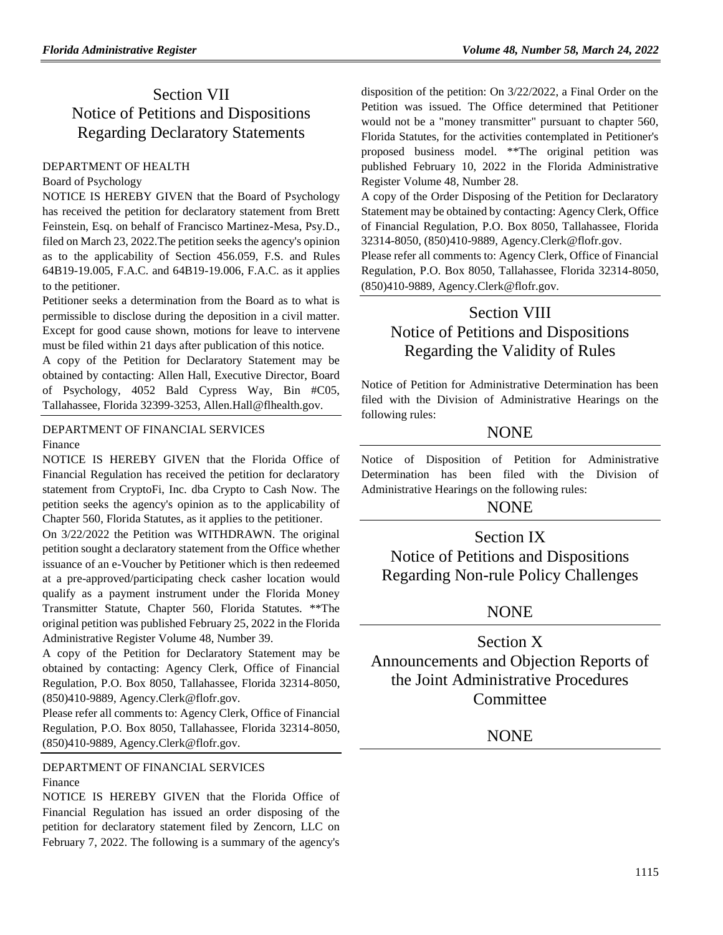# Section VII Notice of Petitions and Dispositions Regarding Declaratory Statements

### [DEPARTMENT OF HEALTH](https://www.flrules.org/gateway/department.asp?id=64)

#### [Board of Psychology](https://www.flrules.org/gateway/organization.asp?id=310)

NOTICE IS HEREBY GIVEN that the Board of Psychology has received the petition for declaratory statement from Brett Feinstein, Esq. on behalf of Francisco Martinez-Mesa, Psy.D., filed on March 23, 2022.The petition seeks the agency's opinion as to the applicability of Section 456.059, F.S. and Rules 64B19-19.005, F.A.C. and 64B19-19.006, F.A.C. as it applies to the petitioner.

Petitioner seeks a determination from the Board as to what is permissible to disclose during the deposition in a civil matter. Except for good cause shown, motions for leave to intervene must be filed within 21 days after publication of this notice.

A copy of the Petition for Declaratory Statement may be obtained by contacting: Allen Hall, Executive Director, Board of Psychology, 4052 Bald Cypress Way, Bin #C05, Tallahassee, Florida 32399-3253, Allen.Hall@flhealth.gov.

### [DEPARTMENT OF FINANCIAL SERVICES](https://www.flrules.org/gateway/department.asp?id=69) [Finance](https://www.flrules.org/gateway/organization.asp?id=524)

NOTICE IS HEREBY GIVEN that the Florida Office of Financial Regulation has received the petition for declaratory statement from CryptoFi, Inc. dba Crypto to Cash Now. The petition seeks the agency's opinion as to the applicability of Chapter 560, Florida Statutes, as it applies to the petitioner.

On 3/22/2022 the Petition was WITHDRAWN. The original petition sought a declaratory statement from the Office whether issuance of an e-Voucher by Petitioner which is then redeemed at a pre-approved/participating check casher location would qualify as a payment instrument under the Florida Money Transmitter Statute, Chapter 560, Florida Statutes. \*\*The original petition was published February 25, 2022 in the Florida Administrative Register Volume 48, Number 39.

A copy of the Petition for Declaratory Statement may be obtained by contacting: Agency Clerk, Office of Financial Regulation, P.O. Box 8050, Tallahassee, Florida 32314-8050, (850)410-9889, Agency.Clerk@flofr.gov.

Please refer all comments to: Agency Clerk, Office of Financial Regulation, P.O. Box 8050, Tallahassee, Florida 32314-8050, (850)410-9889, Agency.Clerk@flofr.gov.

[DEPARTMENT OF FINANCIAL SERVICES](https://www.flrules.org/gateway/department.asp?id=69) [Finance](https://www.flrules.org/gateway/organization.asp?id=524)

NOTICE IS HEREBY GIVEN that the Florida Office of Financial Regulation has issued an order disposing of the petition for declaratory statement filed by Zencorn, LLC on February 7, 2022. The following is a summary of the agency's

disposition of the petition: On 3/22/2022, a Final Order on the Petition was issued. The Office determined that Petitioner would not be a "money transmitter" pursuant to chapter 560, Florida Statutes, for the activities contemplated in Petitioner's proposed business model. \*\*The original petition was published February 10, 2022 in the Florida Administrative Register Volume 48, Number 28.

A copy of the Order Disposing of the Petition for Declaratory Statement may be obtained by contacting: Agency Clerk, Office of Financial Regulation, P.O. Box 8050, Tallahassee, Florida 32314-8050, (850)410-9889, Agency.Clerk@flofr.gov.

Please refer all comments to: Agency Clerk, Office of Financial Regulation, P.O. Box 8050, Tallahassee, Florida 32314-8050, (850)410-9889, Agency.Clerk@flofr.gov.

# Section VIII

# Notice of Petitions and Dispositions Regarding the Validity of Rules

Notice of Petition for Administrative Determination has been filed with the Division of Administrative Hearings on the following rules:

# **NONE**

Notice of Disposition of Petition for Administrative Determination has been filed with the Division of Administrative Hearings on the following rules:

# NONE

Section IX Notice of Petitions and Dispositions Regarding Non-rule Policy Challenges

# NONE

Section X Announcements and Objection Reports of the Joint Administrative Procedures **Committee** 

NONE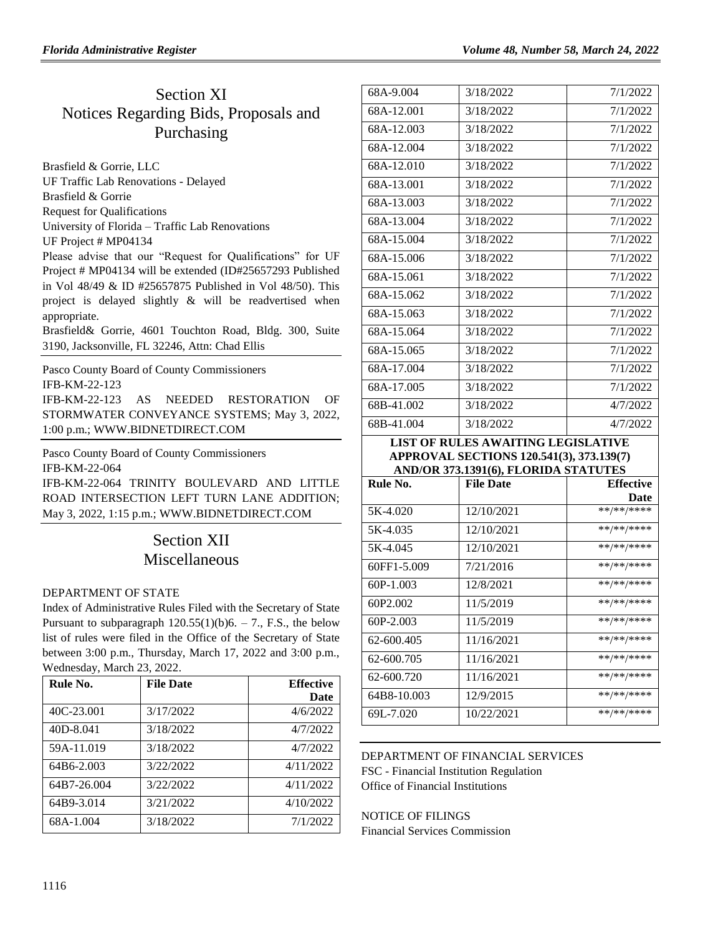# Section XI Notices Regarding Bids, Proposals and Purchasing

[Brasfield & Gorrie, LLC](https://www.flrules.org/gateway/organization.asp?id=1219) UF Traffic Lab Renovations - Delayed

Brasfield & Gorrie

Request for Qualifications

University of Florida – Traffic Lab Renovations

UF Project # MP04134

Please advise that our "Request for Qualifications" for UF Project # MP04134 will be extended (ID#25657293 Published in Vol 48/49 & ID #25657875 Published in Vol 48/50). This project is delayed slightly & will be readvertised when appropriate.

Brasfield& Gorrie, 4601 Touchton Road, Bldg. 300, Suite 3190, Jacksonville, FL 32246, Attn: Chad Ellis

[Pasco County Board of County Commissioners](https://www.flrules.org/gateway/organization.asp?id=1352) IFB-KM-22-123 IFB-KM-22-123 AS NEEDED RESTORATION OF STORMWATER CONVEYANCE SYSTEMS; May 3, 2022,

1:00 p.m.; [WWW.BIDNETDIRECT.COM](http://www.bidnetdirect.com/)

Pasco [County Board of County Commissioners](https://www.flrules.org/gateway/organization.asp?id=1352)

IFB-KM-22-064

IFB-KM-22-064 TRINITY BOULEVARD AND LITTLE ROAD INTERSECTION LEFT TURN LANE ADDITION; May 3, 2022, 1:15 p.m.; [WWW.BIDNETDIRECT.COM](http://www.bidnetdirect.com/)

# Section XII Miscellaneous

## [DEPARTMENT OF STATE](https://www.flrules.org/gateway/department.asp?id=1)

Index of Administrative Rules Filed with the Secretary of State Pursuant to subparagraph  $120.55(1)(b)6. - 7$ ., F.S., the below list of rules were filed in the Office of the Secretary of State between 3:00 p.m., Thursday, March 17, 2022 and 3:00 p.m., Wednesday, March 23, 2022.

| Rule No.    | <b>File Date</b> | <b>Effective</b> |
|-------------|------------------|------------------|
|             |                  | Date             |
| 40C-23.001  | 3/17/2022        | 4/6/2022         |
| 40D-8.041   | 3/18/2022        | 4/7/2022         |
| 59A-11.019  | 3/18/2022        | 4/7/2022         |
| 64B6-2.003  | 3/22/2022        | 4/11/2022        |
| 64B7-26.004 | 3/22/2022        | 4/11/2022        |
| 64B9-3.014  | 3/21/2022        | 4/10/2022        |
| 68A-1.004   | 3/18/2022        | 7/1/2022         |

| 68A-9.004  | 3/18/2022 | 7/1/2022 |
|------------|-----------|----------|
| 68A-12.001 | 3/18/2022 | 7/1/2022 |
| 68A-12.003 | 3/18/2022 | 7/1/2022 |
| 68A-12.004 | 3/18/2022 | 7/1/2022 |
| 68A-12.010 | 3/18/2022 | 7/1/2022 |
| 68A-13.001 | 3/18/2022 | 7/1/2022 |
| 68A-13.003 | 3/18/2022 | 7/1/2022 |
| 68A-13.004 | 3/18/2022 | 7/1/2022 |
| 68A-15.004 | 3/18/2022 | 7/1/2022 |
| 68A-15.006 | 3/18/2022 | 7/1/2022 |
| 68A-15.061 | 3/18/2022 | 7/1/2022 |
| 68A-15.062 | 3/18/2022 | 7/1/2022 |
| 68A-15.063 | 3/18/2022 | 7/1/2022 |
| 68A-15.064 | 3/18/2022 | 7/1/2022 |
| 68A-15.065 | 3/18/2022 | 7/1/2022 |
| 68A-17.004 | 3/18/2022 | 7/1/2022 |
| 68A-17.005 | 3/18/2022 | 7/1/2022 |
| 68B-41.002 | 3/18/2022 | 4/7/2022 |
| 68B-41.004 | 3/18/2022 | 4/7/2022 |

### **LIST OF RULES AWAITING LEGISLATIVE APPROVAL SECTIONS 120.541(3), 373.139(7) AND/OR 373.1391(6), FLORIDA STATUTES**

| Rule No.    | <b>File Date</b> | <b>Effective</b> |
|-------------|------------------|------------------|
|             |                  | Date             |
| 5K-4.020    | 12/10/2021       | **/**/****       |
| 5K-4.035    | 12/10/2021       | **/**/****       |
| 5K-4.045    | 12/10/2021       | **/**/****       |
| 60FF1-5.009 | 7/21/2016        | **/**/****       |
| $60P-1.003$ | 12/8/2021        | **/**/****       |
| 60P2.002    | 11/5/2019        | **/**/****       |
| $60P-2.003$ | 11/5/2019        | **/**/****       |
| 62-600.405  | 11/16/2021       | **/**/****       |
| 62-600.705  | 11/16/2021       | **/**/****       |
| 62-600.720  | 11/16/2021       | **/**/****       |
| 64B8-10.003 | 12/9/2015        | **/**/****       |
| 69L-7.020   | 10/22/2021       | **/**/****       |

## [DEPARTMENT OF FINANCIAL SERVICES](https://www.flrules.org/gateway/department.asp?id=69) FSC - [Financial Institution Regulation](https://www.flrules.org/gateway/organization.asp?id=523) Office of Financial Institutions

NOTICE OF FILINGS Financial Services Commission